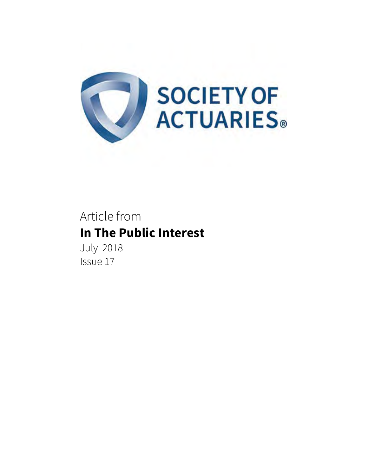

# Article from **In The Public Interest**

July 2018 Issue 17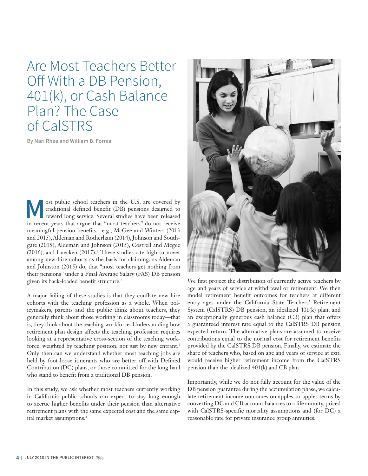Are Most Teachers Better Off With a DB Pension, 401(k), or Cash Balance Plan? The Case of CalSTRS

**By Nari Rhee and William B. Fornia**

ost public school teachers in the U.S. are covered by traditional defined benefit (DB) pensions designed to reward long service. Several studies have been released in recent years that argue that "most teachers" do not receive meaningful pension benefits—e.g., McGee and Winters (2013 and 2015), Aldeman and Rotherham (2014), Johnson and Southgate (2015), Aldeman and Johnson (2015), Costrell and Mcgee  $(2016)$ , and Luecken  $(2017)$ .<sup>1</sup> These studies cite high turnover among new-hire cohorts as the basis for claiming, as Aldeman and Johnston (2015) do, that "most teachers get nothing from their pensions" under a Final Average Salary (FAS) DB pension given its back-loaded benefit structure.<sup>2</sup>

A major failing of these studies is that they conflate new hire cohorts with the teaching profession as a whole. When policymakers, parents and the public think about teachers, they generally think about those working in classrooms today—that is, they think about the teaching workforce. Understanding how retirement plan design affects the teaching profession requires looking at a representative cross-section of the teaching workforce, weighted by teaching position, not just by new entrant.<sup>3</sup> Only then can we understand whether most teaching jobs are held by foot-loose itinerants who are better off with Defined Contribution (DC) plans, or those committed for the long haul who stand to benefit from a traditional DB pension.

In this study, we ask whether most teachers currently working in California public schools can expect to stay long enough to accrue higher benefits under their pension than alternative retirement plans with the same expected cost and the same capital market assumptions.<sup>4</sup>



We first project the distribution of currently active teachers by age and years of service at withdrawal or retirement. We then model retirement benefit outcomes for teachers at different entry ages under the California State Teachers' Retirement System (CalSTRS) DB pension, an idealized 401(k) plan, and an exceptionally generous cash balance (CB) plan that offers a guaranteed interest rate equal to the CalSTRS DB pension expected return. The alternative plans are assumed to receive contributions equal to the normal cost for retirement benefits provided by the CalSTRS DB pension. Finally, we estimate the share of teachers who, based on age and years of service at exit, would receive higher retirement income from the CalSTRS pension than the idealized 401(k) and CB plan.

Importantly, while we do not fully account for the value of the DB pension guarantee during the accumulation phase, we calculate retirement income outcomes on apples-to-apples terms by converting DC and CB account balances to a life annuity, priced with CalSTRS-specific mortality assumptions and (for DC) a reasonable rate for private insurance group annuities.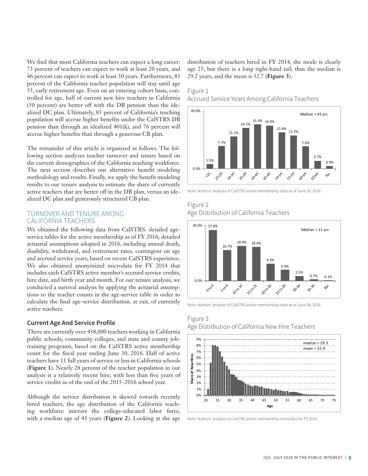We find that most California teachers can expect a long career: 73 percent of teachers can expect to work at least 20 years, and 46 percent can expect to work at least 30 years. Furthermore, 83 percent of the California teacher population will stay until age 55, early retirement age. Even on an entering cohort basis, controlled for age, half of current new hire teachers in California (50 percent) are better off with the DB pension than the idealized DC plan. Ultimately, 85 percent of California's teaching population will accrue higher benefits under the CalSTRS DB pension than through an idealized 401(k), and 76 percent will accrue higher benefits than through a generous CB plan.

The remainder of this article is organized as follows. The following section analyzes teacher turnover and tenure based on the current demographics of the California teaching workforce. The next section describes our alternative benefit modeling methodology and results. Finally, we apply the benefit modeling results to our tenure analysis to estimate the share of currently active teachers that are better off in the DB plan, versus an idealized DC plan and generously structured CB plan.

## TURNOVER AND TENURE AMONG CALIFORNIA TEACHERS

We obtained the following data from CalSTRS: detailed ageservice tables for the active membership as of FY 2016; detailed actuarial assumptions adopted in 2016, including annual death, disability, withdrawal, and retirement rates, contingent on age and accrued service years, based on recent CalSTRS experience. We also obtained anonymized microdata for FY 2014 that includes each CalSTRS active member's accrued service credits, hire date, and birth year and month. For our tenure analysis, we conducted a survival analysis by applying the actuarial assumptions to the teacher counts in the age-service table in order to calculate the final age-service distribution, at exit, of currently active teachers.

#### **Current Age And Service Profile**

There are currently over 438,000 teachers working in California public schools, community colleges, and state and county jobtraining programs, based on the CalSTRS active membership count for the fiscal year ending June 30, 2016. Half of active teachers have 11 full years of service or less in California schools (**Figure 1**). Nearly 28 percent of the teacher population in our analysis is a relatively recent hire, with less than five years of service credits as of the end of the 2015–2016 school year.

Although the service distribution is skewed towards recently hired teachers, the age distribution of the California teaching workforce mirrors the college-educated labor force, with a median age of 45 years (**Figure 2**). Looking at the age distribution of teachers hired in FY 2014, the mode is clearly age 25, but there is a long right-hand tail; thus the median is 29.2 years, and the mean is 32.7 (**Figure 3**).

## **bon-** Figure 1

Accrued Service Years Among California Teachers **Age Distribution of CA Teachers**



rrrry<br>ide= Note: Authors' analysis of CalSTRS active membership data as of June 30, 2016.

# **Exhibit 1** Age Distribution of California Teachers **Accrued Service among California Teachers** Figure 2



Note: Authors' analysis of CalSTRS active membership data as of June 30, 2016.

# Figure 3 Age Distribution of California New Hire Teachers Exhibit 3 **Age Distribution of California New Hire Teachers**



Note: Authors' analysis of CalSTRS active membership microdata for FY 2014.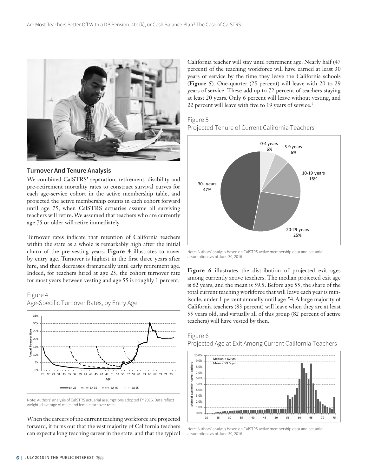

#### **Turnover And Tenure Analysis**

We combined CalSTRS' separation, retirement, disability and pre-retirement mortality rates to construct survival curves for each age-service cohort in the active membership table, and projected the active membership counts in each cohort forward until age 75, when CalSTRS actuaries assume all surviving teachers will retire. We assumed that teachers who are currently age 75 or older will retire immediately.

Turnover rates indicate that retention of California teachers within the state as a whole is remarkably high after the initial churn of the pre-vesting years. **Figure 4** illustrates turnover by entry age. Turnover is highest in the first three years after hire, and then decreases dramatically until early retirement age. Indeed, for teachers hired at age 25, the cohort turnover rate for most years between vesting and age 55 is roughly 1 percent.

# Figure 4 Age-Specific Turnover Rates, by Entry Age **Exhibit 4 Age-Specific Turnover Rates, by Entry Age**



Note: Authors' analysis of CalSTRS actuarial assumptions adopted FY 2016. Data reflect weighted average of male and female turnover rates.

When the careers of the current teaching workforce are projected forward, it turns out that the vast majority of California teachers can expect a long teaching career in the state, and that the typical

California teacher will stay until retirement age. Nearly half (47 percent) of the teaching workforce will have earned at least 30 years of service by the time they leave the California schools (**Figure 5**). One-quarter (25 percent) will leave with 20 to 29 years of service. These add up to 72 percent of teachers staying at least 20 years. Only 6 percent will leave without vesting, and 22 percent will leave with five to 19 years of service.<sup>5</sup>

## Figure 5 Projected Tenure of Current California Teachers



Note: Authors' analysis based on CalSTRS active membership data and actuarial assumptions as of June 30, 2016.

Figure 6 illustrates the distribution of projected exit ages among currently active teachers. The median projected exit age is 62 years, and the mean is 59.5. Before age 55, the share of the total current teaching workforce that will leave each year is miniscule, under 1 percent annually until age 54. A large majority of California teachers (83 percent) will leave when they are at least 55 years old, and virtually all of this group (82 percent of active teachers) will have vested by then.

#### Figure 6





Note: Authors' analysis based on CalSTRS active membership data and actuarial assumptions as of June 30, 2016.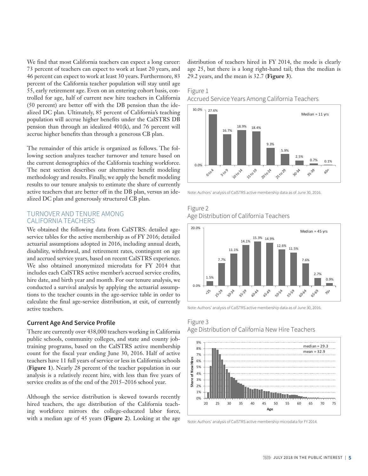We find that most California teachers can expect a long career: 73 percent of teachers can expect to work at least 20 years, and 46 percent can expect to work at least 30 years. Furthermore, 83 percent of the California teacher population will stay until age 55, early retirement age. Even on an entering cohort basis, controlled for age, half of current new hire teachers in California (50 percent) are better off with the DB pension than the idealized DC plan. Ultimately, 85 percent of California's teaching population will accrue higher benefits under the CalSTRS DB pension than through an idealized 401(k), and 76 percent will accrue higher benefits than through a generous CB plan.

The remainder of this article is organized as follows. The following section analyzes teacher turnover and tenure based on the current demographics of the California teaching workforce. The next section describes our alternative benefit modeling methodology and results. Finally, we apply the benefit modeling results to our tenure analysis to estimate the share of currently active teachers that are better off in the DB plan, versus an idealized DC plan and generously structured CB plan.

## TURNOVER AND TENURE AMONG CALIFORNIA TEACHERS

We obtained the following data from CalSTRS: detailed ageservice tables for the active membership as of FY 2016; detailed actuarial assumptions adopted in 2016, including annual death, disability, withdrawal, and retirement rates, contingent on age and accrued service years, based on recent CalSTRS experience. We also obtained anonymized microdata for FY 2014 that includes each CalSTRS active member's accrued service credits, hire date, and birth year and month. For our tenure analysis, we conducted a survival analysis by applying the actuarial assumptions to the teacher counts in the age-service table in order to calculate the final age-service distribution, at exit, of currently active teachers.

#### **Current Age And Service Profile**

There are currently over 438,000 teachers working in California public schools, community colleges, and state and county jobtraining programs, based on the CalSTRS active membership count for the fiscal year ending June 30, 2016. Half of active teachers have 11 full years of service or less in California schools (**Figure 1**). Nearly 28 percent of the teacher population in our analysis is a relatively recent hire, with less than five years of service credits as of the end of the 2015–2016 school year.

Although the service distribution is skewed towards recently hired teachers, the age distribution of the California teaching workforce mirrors the college-educated labor force, with a median age of 45 years (**Figure 2**). Looking at the age

distribution of teachers hired in FY 2014, the mode is clearly and age 25, but there is a long right-hand tail; thus the median is 29.2 years, and the mean is 32.7 (**Figure 3**). 25-29 30-34 35-39 40-44 45-49 50-54 55-59 60-64 65-69

#### Figure 1

Accrued Service Years Among California Teachers **Accrued Service among California Teachers**



----<sub>-</sub><br>i**de-** Note: Authors' analysis of CalSTRS active membership data as of June 30, 2016.

## Figure 2 Age Distribution of California Teachers **Age Distribution of CA Teachers**



Note: Authors' analysis of CalSTRS active membership data as of June 30, 2016.

# **Age Distribution of California New Hire Teachers** Figure 3



Note: Authors' analysis of CalSTRS active membership microdata for FY 2014.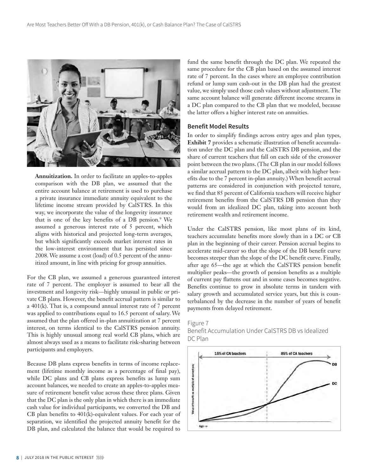

**Annuitization.** In order to facilitate an apples-to-apples comparison with the DB plan, we assumed that the entire account balance at retirement is used to purchase a private insurance immediate annuity equivalent to the lifetime income stream provided by CalSTRS. In this way, we incorporate the value of the longevity insurance that is one of the key benefits of a DB pension.<sup>9</sup> We assumed a generous interest rate of 5 percent, which aligns with historical and projected long-term averages, but which significantly exceeds market interest rates in the low-interest environment that has persisted since 2008. We assume a cost (load) of 0.5 percent of the annuitized amount, in line with pricing for group annuities.

For the CB plan, we assumed a generous guaranteed interest rate of 7 percent. The employer is assumed to bear all the investment and longevity risk—highly unusual in public or private CB plans. However, the benefit accrual pattern is similar to a 401(k). That is, a compound annual interest rate of 7 percent was applied to contributions equal to 16.5 percent of salary. We assumed that the plan offered in-plan annuitization at 7 percent interest, on terms identical to the CalSTRS pension annuity. This is highly unusual among real world CB plans, which are almost always used as a means to facilitate risk-sharing between participants and employers.

Because DB plans express benefits in terms of income replacement (lifetime monthly income as a percentage of final pay), while DC plans and CB plans express benefits as lump sum account balances, we needed to create an apples-to-apples measure of retirement benefit value across these three plans. Given that the DC plan is the only plan in which there is an immediate cash value for individual participants, we converted the DB and CB plan benefits to 401(k)-equivalent values. For each year of separation, we identified the projected annuity benefit for the DB plan, and calculated the balance that would be required to

fund the same benefit through the DC plan. We repeated the same procedure for the CB plan based on the assumed interest rate of 7 percent. In the cases where an employee contribution refund or lump sum cash-out in the DB plan had the greatest value, we simply used those cash values without adjustment. The same account balance will generate different income streams in a DC plan compared to the CB plan that we modeled, because the latter offers a higher interest rate on annuities.

#### **Benefit Model Results**

In order to simplify findings across entry ages and plan types, **Exhibit 7** provides a schematic illustration of benefit accumulation under the DC plan and the CalSTRS DB pension, and the share of current teachers that fall on each side of the crossover point between the two plans. (The CB plan in our model follows a similar accrual pattern to the DC plan, albeit with higher benefits due to the 7 percent in-plan annuity.) When benefit accrual patterns are considered in conjunction with projected tenure, we find that 85 percent of California teachers will receive higher retirement benefits from the CalSTRS DB pension than they would from an idealized DC plan, taking into account both retirement wealth and retirement income.

Under the CalSTRS pension, like most plans of its kind, teachers accumulate benefits more slowly than in a DC or CB plan in the beginning of their career. Pension accrual begins to accelerate mid-career so that the slope of the DB benefit curve becomes steeper than the slope of the DC benefit curve. Finally, after age 65—the age at which the CalSTRS pension benefit multiplier peaks—the growth of pension benefits as a multiple of current pay flattens out and in some cases becomes negative. Benefits continue to grow in absolute terms in tandem with salary growth and accumulated service years, but this is counterbalanced by the decrease in the number of years of benefit payments from delayed retirement.



## Figure 7 Benefit Accumulation Under CalSTRS DB vs Idealized DC Plan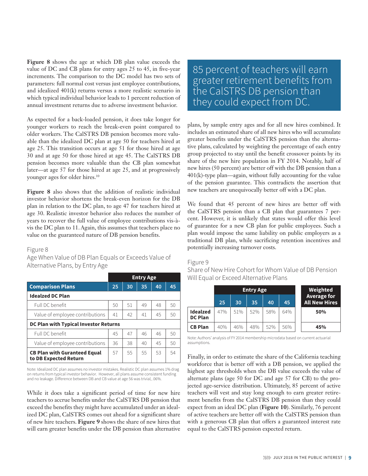**Figure 8** shows the age at which DB plan value exceeds the value of DC and CB plans for entry ages 25 to 45, in five-year increments. The comparison to the DC model has two sets of parameters: full normal cost versus just employee contributions, and idealized 401(k) returns versus a more realistic scenario in which typical individual behavior leads to 1 percent reduction of annual investment returns due to adverse investment behavior.

As expected for a back-loaded pension, it does take longer for younger workers to reach the break-even point compared to older workers. The CalSTRS DB pension becomes more valuable than the idealized DC plan at age 50 for teachers hired at age 25. This transition occurs at age 51 for those hired at age 30 and at age 50 for those hired at age 45. The CalSTRS DB pension becomes more valuable than the CB plan somewhat later—at age 57 for those hired at age 25, and at progressively younger ages for older hires.<sup>10</sup>

**Figure 8** also shows that the addition of realistic individual investor behavior shortens the break-even horizon for the DB plan in relation to the DC plan, to age 47 for teachers hired at age 30. Realistic investor behavior also reduces the number of years to recover the full value of employee contributions vis-àvis the DC plan to 11. Again, this assumes that teachers place no value on the guaranteed nature of DB pension benefits.

#### Figure 8

Age When Value of DB Plan Equals or Exceeds Value of Alternative Plans, by Entry Age

|                                                              | <b>Entry Age</b> |    |    |    |    |  |  |  |
|--------------------------------------------------------------|------------------|----|----|----|----|--|--|--|
| <b>Comparison Plans</b>                                      | 25               | 30 | 35 | 40 | 45 |  |  |  |
| <b>Idealzed DC Plan</b>                                      |                  |    |    |    |    |  |  |  |
| Full DC benefit                                              | 50               | 51 | 49 | 48 | 50 |  |  |  |
| Value of employee contributions                              | 41               | 42 | 41 | 45 | 50 |  |  |  |
| DC Plan with Typical Investor Returns                        |                  |    |    |    |    |  |  |  |
| Full DC benefit                                              | 45               | 47 | 46 | 46 | 50 |  |  |  |
| Value of employee contributions                              | 36               | 38 | 40 | 45 | 50 |  |  |  |
| <b>CB Plan with Guranteed Equal</b><br>to DB Expected Return | 57               | 55 | 55 | 53 | 54 |  |  |  |

Note: Idealized DC plan assumes no investor mistakes. Realistic DC plan assumes 1% drag on returns from typical investor behavior. However, all plans assume consistent funding and no leakage. Difference between DB and CB value at age 56 was trivial, .06%.

While it does take a significant period of time for new hire teachers to accrue benefits under the CalSTRS DB pension that exceed the benefits they might have accumulated under an idealized DC plan, CalSTRS comes out ahead for a significant share of new hire teachers. **Figure 9** shows the share of new hires that will earn greater benefits under the DB pension than alternative

85 percent of teachers will earn greater retirement benefits from the CalSTRS DB pension than they could expect from DC.

plans, by sample entry ages and for all new hires combined. It includes an estimated share of all new hires who will accumulate greater benefits under the CalSTRS pension than the alternative plans, calculated by weighting the percentage of each entry group projected to stay until the benefit crossover points by its share of the new hire population in FY 2014. Notably, half of new hires (50 percent) are better off with the DB pension than a 401(k)-type plan—again, without fully accounting for the value of the pension guarantee. This contradicts the assertion that new teachers are unequivocally better off with a DC plan.

We found that 45 percent of new hires are better off with the CalSTRS pension than a CB plan that guarantees 7 percent. However, it is unlikely that states would offer this level of guarantee for a new CB plan for public employees. Such a plan would impose the same liability on public employers as a traditional DB plan, while sacrificing retention incentives and potentially increasing turnover costs.

#### Figure 9

Share of New Hire Cohort for Whom Value of DB Pension Will Equal or Exceed Alternative Plans

|                            | <b>Entry Age</b> |     |     |     | <b>Weighted</b> |                                            |  |
|----------------------------|------------------|-----|-----|-----|-----------------|--------------------------------------------|--|
|                            | 25               | 30  | 35  | 40  | 45              | <b>Average for</b><br><b>All New Hires</b> |  |
| Idealzed<br><b>DC Plan</b> | 47%              | 51% | 52% | 58% | 64%             | 50%                                        |  |
| <b>CB Plan</b>             | 40%              | 46% | 48% | 52% | 56%             | 45%                                        |  |

Note: Authors' analysis of FY 2014 membership microdata based on current actuarial assumptions.

Finally, in order to estimate the share of the California teaching workforce that is better off with a DB pension, we applied the highest age thresholds when the DB value exceeds the value of alternate plans (age 50 for DC and age 57 for CB) to the projected age-service distribution. Ultimately, 85 percent of active teachers will vest and stay long enough to earn greater retirement benefits from the CalSTRS DB pension than they could expect from an ideal DC plan (**Figure 10**). Similarly, 76 percent of active teachers are better off with the CalSTRS pension than with a generous CB plan that offers a guaranteed interest rate equal to the CalSTRS pension expected return.